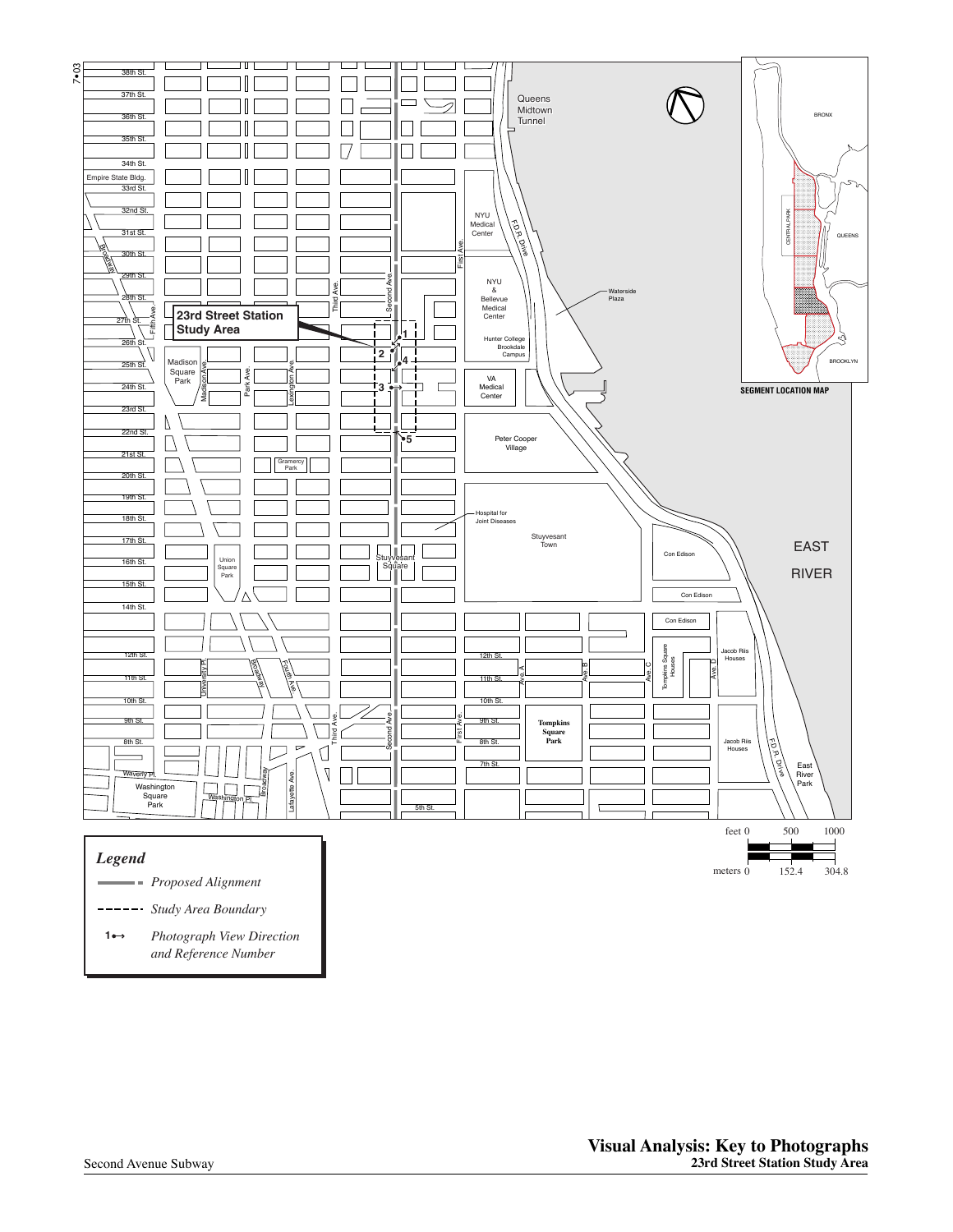

*Study Area Boundary*

*Photograph View Direction and Reference Number* **1**